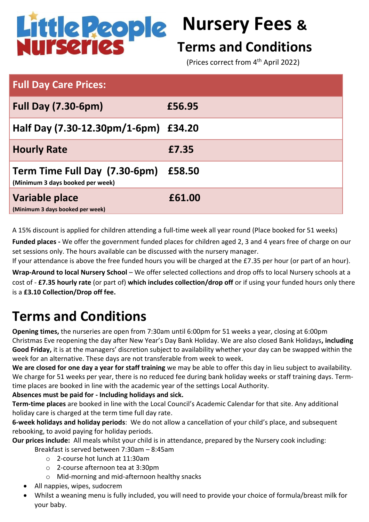

# **Nursery Fees &**

### **Terms and Conditions**

(Prices correct from 4<sup>th</sup> April 2022)

| <b>Full Day Care Prices:</b>                                      |        |
|-------------------------------------------------------------------|--------|
| <b>Full Day (7.30-6pm)</b>                                        | £56.95 |
| Half Day (7.30-12.30pm/1-6pm) £34.20                              |        |
| <b>Hourly Rate</b>                                                | £7.35  |
| Term Time Full Day (7.30-6pm)<br>(Minimum 3 days booked per week) | £58.50 |
| Variable place<br>(Minimum 3 days booked per week)                | £61.00 |

A 15% discount is applied for children attending a full-time week all year round (Place booked for 51 weeks)

**Funded places -** We offer the government funded places for children aged 2, 3 and 4 years free of charge on our set sessions only. The hours available can be discussed with the nursery manager.

If your attendance is above the free funded hours you will be charged at the £7.35 per hour (or part of an hour). **Wrap-Around to local Nursery School** – We offer selected collections and drop offs to local Nursery schools at a cost of - **£7.35 hourly rate** (or part of) **which includes collection/drop off** or if using your funded hours only there is a **£3.10 Collection/Drop off fee.**

## **Terms and Conditions**

**Opening times,** the nurseries are open from 7:30am until 6:00pm for 51 weeks a year, closing at 6:00pm Christmas Eve reopening the day after New Year's Day Bank Holiday. We are also closed Bank Holidays**, including Good Friday,** it is at the managers' discretion subject to availability whether your day can be swapped within the week for an alternative. These days are not transferable from week to week.

**We are closed for one day a year for staff training** we may be able to offer this day in lieu subject to availability. We charge for 51 weeks per year, there is no reduced fee during bank holiday weeks or staff training days. Termtime places are booked in line with the academic year of the settings Local Authority.

#### **Absences must be paid for - Including holidays and sick.**

**Term-time places** are booked in line with the Local Council's Academic Calendar for that site. Any additional holiday care is charged at the term time full day rate.

**6-week holidays and holiday periods**: We do not allow a cancellation of your child's place, and subsequent rebooking, to avoid paying for holiday periods.

**Our prices include:** All meals whilst your child is in attendance, prepared by the Nursery cook including:

Breakfast is served between 7:30am – 8:45am

- o 2-course hot lunch at 11:30am
- o 2-course afternoon tea at 3:30pm
- o Mid-morning and mid-afternoon healthy snacks
- All nappies, wipes, sudocrem
- Whilst a weaning menu is fully included, you will need to provide your choice of formula/breast milk for your baby.